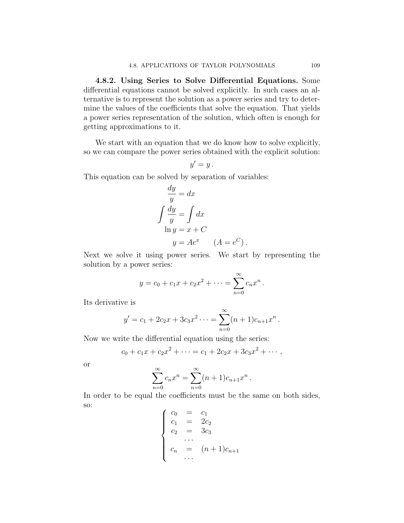4.8.2. Using Series to Solve Differential Equations. Some differential equations cannot be solved explicitly. In such cases an alternative is to represent the solution as a power series and try to determine the values of the coefficients that solve the equation. That yields a power series representation of the solution, which often is enough for a power series representation of the solution, which often is enough for  $\beta$  are  $\beta$  approximations to it.

We start with an equation that we do into the solve explicit solution. so we can compare the power series obtained with the explicit solution:

$$
y'=y.
$$

This equation can be solved by separation of variables: This equation can be solved by separation of variables:

$$
\frac{dy}{y} = dx
$$
  

$$
\int \frac{dy}{y} = \int dx
$$
  

$$
\ln y = x + C
$$
  

$$
y = Ae^x \quad (A = e^C).
$$

Next we solve it using power series. We start by representing the  $\frac{1}{2}$  solution by a nower series.

$$
y = c_0 + c_1 x + c_2 x^2 + \dots = \sum_{n=0}^{\infty} c_n x^n.
$$

$$
y' = c_1 + 2c_2x + 3c_3x^2 \cdots = \sum_{n=0}^{\infty} (n+1)c_{n+1}x^n.
$$

$$
c_0 + c_1 x + c_2 x^2 + \cdots = c_1 + 2c_2 x + 3c_3 x^2 + \cdots,
$$

<sub>or</sub>

$$
\sum_{n=0}^{\infty} c_n x^n = \sum_{n=0}^{\infty} (n+1)c_{n+1}x^n.
$$

 $n = 0$ In order to be equal the coefficients must be the same on both sides,

$$
\begin{cases}\nc_0 = c_1 \\
c_1 = 2c_2 \\
c_2 = 3c_3 \\
\vdots \\
c_n = (n+1)c_{n+1} \\
\vdots\n\end{cases}
$$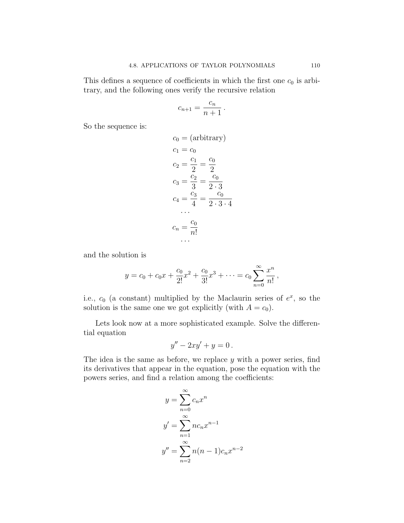$\frac{1}{10}$  and the following ones verify the requisive relation  $\mathbf{t}$  transfer verify the recording the recording  $\mathbf{t}$ 

$$
c_{n+1} = \frac{c_n}{n+1} \, .
$$

So the sequence is:

$$
c_0 = (\text{arbitrary})
$$
  
\n
$$
c_1 = c_0
$$
  
\n
$$
c_2 = \frac{c_1}{2} = \frac{c_0}{2}
$$
  
\n
$$
c_3 = \frac{c_2}{3} = \frac{c_0}{2 \cdot 3}
$$
  
\n
$$
c_4 = \frac{c_3}{4} = \frac{c_0}{2 \cdot 3 \cdot 4}
$$
  
\n...  
\n
$$
c_n = \frac{c_0}{n!}
$$

$$
y = c_0 + c_0 x + \frac{c_0}{2!} x^2 + \frac{c_0}{3!} x^3 + \dots = c_0 \sum_{n=0}^{\infty} \frac{x^n}{n!}
$$

i.e.,  $c_0$  (a constant) multiplied by the Maclaurin series of  $e^x$ , so the solution is the same one we got explicitly (with  $A = c_0$ ).

Lets look now at a more sophisticated example. Solve the differential equation

$$
y'' - 2xy' + y = 0.
$$

The idea is the same as before, we replace  $y$  with a power series, find its derivatives that appear in the equation, pose the equation with the its derivatives that appear in the equation, pose the equation with the the powers series, and find a relation among the coefficients:

$$
y = \sum_{n=0}^{\infty} c_n x^n
$$

$$
y' = \sum_{n=1}^{\infty} n c_n x^{n-1}
$$

$$
y'' = \sum_{n=2}^{\infty} n(n-1)c_n x^{n-2}
$$